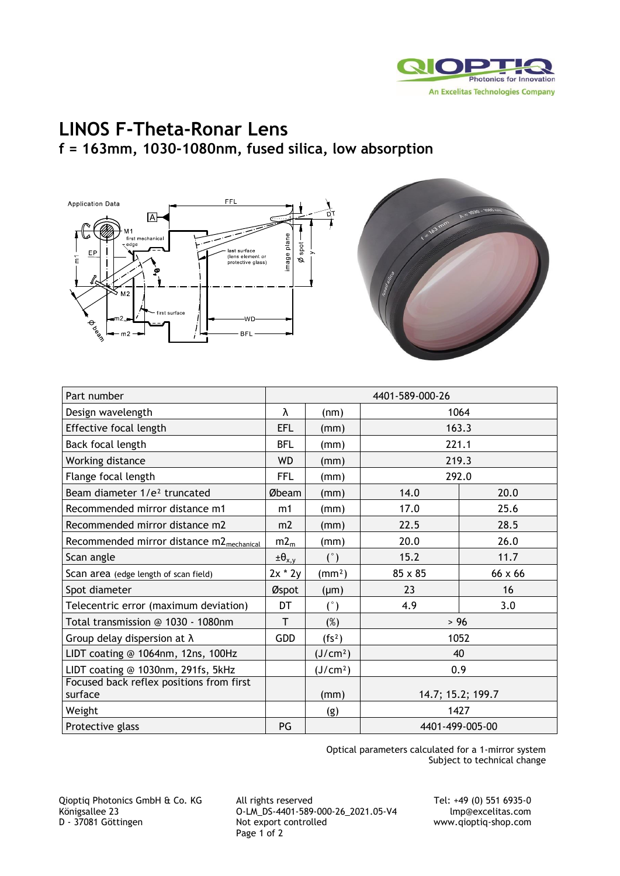

## **LINOS F-Theta-Ronar Lens f = 163mm, 1030-1080nm, fused silica, low absorption**





| Part number                                          | 4401-589-000-26    |                      |                   |                |
|------------------------------------------------------|--------------------|----------------------|-------------------|----------------|
| Design wavelength                                    | λ                  | (nm)                 | 1064              |                |
| Effective focal length                               | EFL                | (mm)                 | 163.3             |                |
| Back focal length                                    | <b>BFL</b>         | (mm)                 | 221.1             |                |
| Working distance                                     | <b>WD</b>          | (mm)                 | 219.3             |                |
| Flange focal length                                  | <b>FFL</b>         | (mm)                 | 292.0             |                |
| Beam diameter 1/e <sup>2</sup> truncated             | Øbeam              | (mm)                 | 14.0              | 20.0           |
| Recommended mirror distance m1                       | m1                 | (mm)                 | 17.0              | 25.6           |
| Recommended mirror distance m2                       | m <sub>2</sub>     | (mm)                 | 22.5              | 28.5           |
| Recommended mirror distance m2 <sub>mechanical</sub> | m2 <sub>m</sub>    | (mm)                 | 20.0              | 26.0           |
| Scan angle                                           | $\pm \theta_{x,y}$ | (°)                  | 15.2              | 11.7           |
| Scan area (edge length of scan field)                | $2x * 2y$          | (mm <sup>2</sup> )   | 85 x 85           | $66 \times 66$ |
| Spot diameter                                        | Øspot              | $(\mu m)$            | 23                | 16             |
| Telecentric error (maximum deviation)                | DT                 | (°)                  | 4.9               | 3.0            |
| Total transmission @ 1030 - 1080nm                   | T                  | $(\%)$               | > 96              |                |
| Group delay dispersion at $\lambda$                  | <b>GDD</b>         | (fs <sup>2</sup> )   | 1052              |                |
| LIDT coating @ 1064nm, 12ns, 100Hz                   |                    | (J/cm <sup>2</sup> ) | 40                |                |
| LIDT coating @ 1030nm, 291fs, 5kHz                   |                    | (J/cm <sup>2</sup> ) | 0.9               |                |
| Focused back reflex positions from first<br>surface  |                    | (mm)                 | 14.7; 15.2; 199.7 |                |
| Weight                                               |                    | (g)                  | 1427              |                |
| Protective glass                                     | PG                 |                      | 4401-499-005-00   |                |

Optical parameters calculated for a 1-mirror system Subject to technical change

Qioptiq Photonics GmbH & Co. KG All rights reserved Tel: +49 (0) 551 6935-0 Königsallee 23 **O-LM\_DS-4401-589-000-26\_2021.05-V4** lmp@excelitas.com<br>D - 37081 Göttingen Mot export controlled www.qioptiq-shop.com Page 1 of 2

www.qioptiq-shop.com